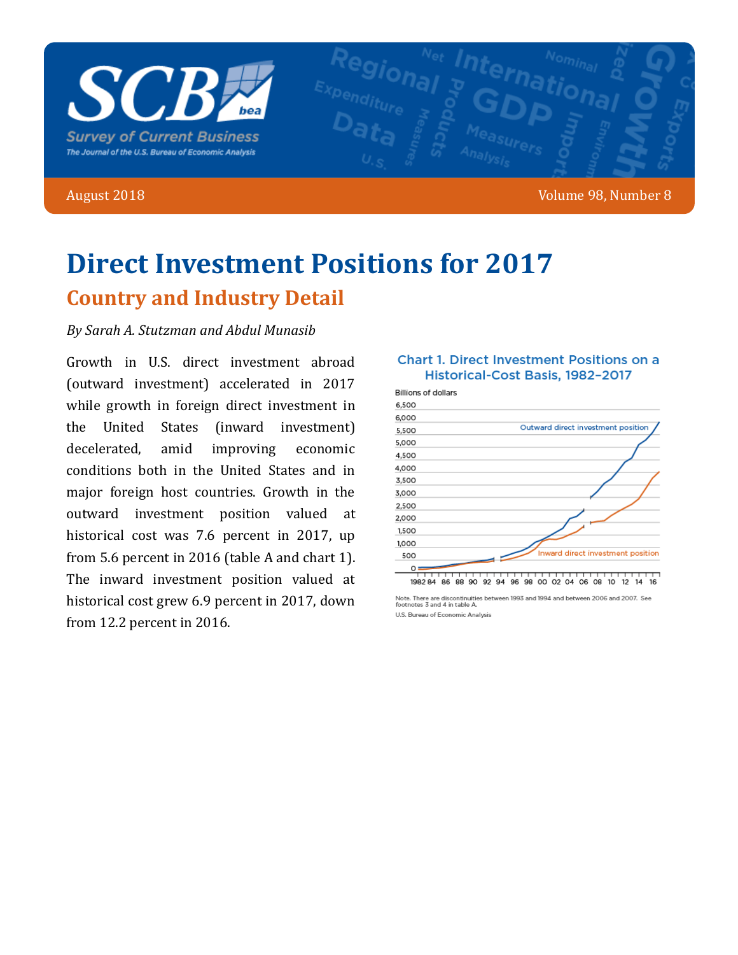

### August 2018 **Volume 98, Number 8**

# **Direct Investment Positions for 2017 Country and Industry Detail**

### *By Sarah A. Stutzman and Abdul Munasib*

Growth in U.S. direct investment abroad (outward investment) accelerated in 2017 while growth in foreign direct investment in the United States (inward investment) decelerated, amid improving economic conditions both in the United States and in major foreign host countries. Growth in the outward investment position valued at historical cost was 7.6 percent in 2017, up from  $5.6$  percent in  $2016$  (table A and chart 1). The inward investment position valued at historical cost grew 6.9 percent in 2017, down from 12.2 percent in 2016.

### **Chart 1. Direct Investment Positions on a** Historical-Cost Basis, 1982-2017 **Billions of dollars** 6,500



Note. There are discontinuities between 1993 and 1994 and between 2006 and 2007. See<br>footnotes 3 and 4 in table A. U.S. Bureau of Economic Analysis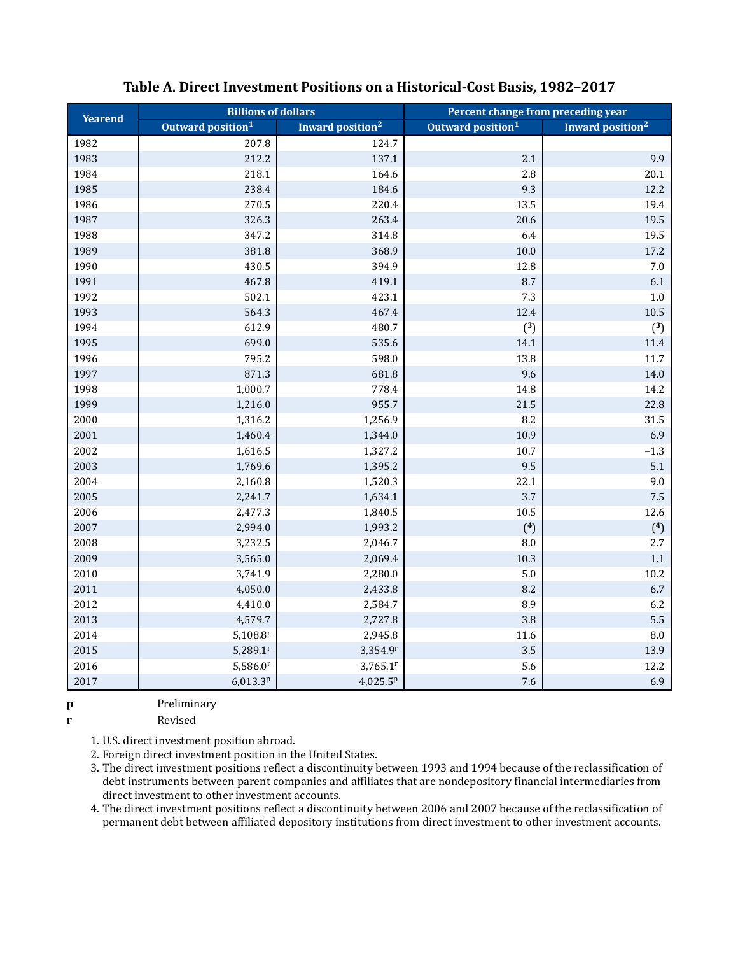| <b>Billions of dollars</b><br><b>Yearend</b> |                               |                              | Percent change from preceding year |                              |  |  |
|----------------------------------------------|-------------------------------|------------------------------|------------------------------------|------------------------------|--|--|
|                                              | Outward position <sup>1</sup> | Inward position <sup>2</sup> | Outward position <sup>1</sup>      | Inward position <sup>2</sup> |  |  |
| 1982                                         | 207.8                         | 124.7                        |                                    |                              |  |  |
| 1983                                         | 212.2                         | 137.1                        | $2.1\,$                            | 9.9                          |  |  |
| 1984                                         | 218.1                         | 164.6                        | 2.8                                | 20.1                         |  |  |
| 1985                                         | 238.4                         | 184.6                        | 9.3                                | 12.2                         |  |  |
| 1986                                         | 270.5                         | 220.4                        | 13.5                               | 19.4                         |  |  |
| 1987                                         | 326.3                         | 263.4                        | 20.6                               | 19.5                         |  |  |
| 1988                                         | 347.2                         | 314.8                        | 6.4                                | 19.5                         |  |  |
| 1989                                         | 381.8                         | 368.9                        | $10.0\,$                           | $17.2\,$                     |  |  |
| 1990                                         | 430.5                         | 394.9                        | 12.8                               | $7.0\,$                      |  |  |
| 1991                                         | 467.8                         | 419.1                        | 8.7                                | $6.1\,$                      |  |  |
| 1992                                         | 502.1                         | 423.1                        | $7.3\,$                            | $1.0\,$                      |  |  |
| 1993                                         | 564.3                         | 467.4                        | 12.4                               | $10.5\,$                     |  |  |
| 1994                                         | 612.9                         | 480.7                        | (3)                                | (3)                          |  |  |
| 1995                                         | 699.0                         | 535.6                        | 14.1                               | $11.4\,$                     |  |  |
| 1996                                         | 795.2                         | 598.0                        | 13.8                               | $11.7\,$                     |  |  |
| 1997                                         | 871.3                         | 681.8                        | 9.6                                | $14.0\,$                     |  |  |
| 1998                                         | 1,000.7                       | 778.4                        | 14.8                               | 14.2                         |  |  |
| 1999                                         | 1,216.0                       | 955.7                        | 21.5                               | 22.8                         |  |  |
| 2000                                         | 1,316.2                       | 1,256.9                      | 8.2                                | $31.5\,$                     |  |  |
| 2001                                         | 1,460.4                       | 1,344.0                      | 10.9                               | 6.9                          |  |  |
| 2002                                         | 1,616.5                       | 1,327.2                      | 10.7                               | $-1.3$                       |  |  |
| 2003                                         | 1,769.6                       | 1,395.2                      | 9.5                                | 5.1                          |  |  |
| 2004                                         | 2,160.8                       | 1,520.3                      | 22.1                               | 9.0                          |  |  |
| 2005                                         | 2,241.7                       | 1,634.1                      | 3.7                                | 7.5                          |  |  |
| 2006                                         | 2,477.3                       | 1,840.5                      | $10.5\,$                           | 12.6                         |  |  |
| 2007                                         | 2,994.0                       | 1,993.2                      | $(^{4})$                           | $(^{4})$                     |  |  |
| 2008                                         | 3,232.5                       | 2,046.7                      | $\, 8.0$                           | 2.7                          |  |  |
| 2009                                         | 3,565.0                       | 2,069.4                      | 10.3                               | $1.1\,$                      |  |  |
| 2010                                         | 3,741.9                       | 2,280.0                      | $5.0\,$                            | $10.2\,$                     |  |  |
| $2011\,$                                     | 4,050.0                       | 2,433.8                      | 8.2                                | 6.7                          |  |  |
| 2012                                         | 4,410.0                       | 2,584.7                      | 8.9                                | 6.2                          |  |  |
| 2013                                         | 4,579.7                       | 2,727.8                      | 3.8                                | 5.5                          |  |  |
| 2014                                         | $5,108.8$ <sup>r</sup>        | 2,945.8                      | 11.6                               | $\rm 8.0$                    |  |  |
| 2015                                         | $5,289.1$ <sup>r</sup>        | 3,354.9r                     | 3.5                                | 13.9                         |  |  |
| 2016                                         | $5,586.0$ <sup>r</sup>        | $3,765.1$ <sup>r</sup>       | 5.6                                | 12.2                         |  |  |
| 2017                                         | 6,013.3p                      | 4,025.5 <sup>p</sup>         | 7.6                                | 6.9                          |  |  |

### Table A. Direct Investment Positions on a Historical-Cost Basis, 1982-2017

p

Preliminary

r Revised

1. U.S. direct investment position abroad.

2. Foreign direct investment position in the United States.

3. The direct investment positions reflect a discontinuity between 1993 and 1994 because of the reclassification of debt instruments between parent companies and affiliates that are nondepository financial intermediaries from direct investment to other investment accounts.

4. The direct investment positions reflect a discontinuity between 2006 and 2007 because of the reclassification of permanent debt between affiliated depository institutions from direct investment to other investment accounts.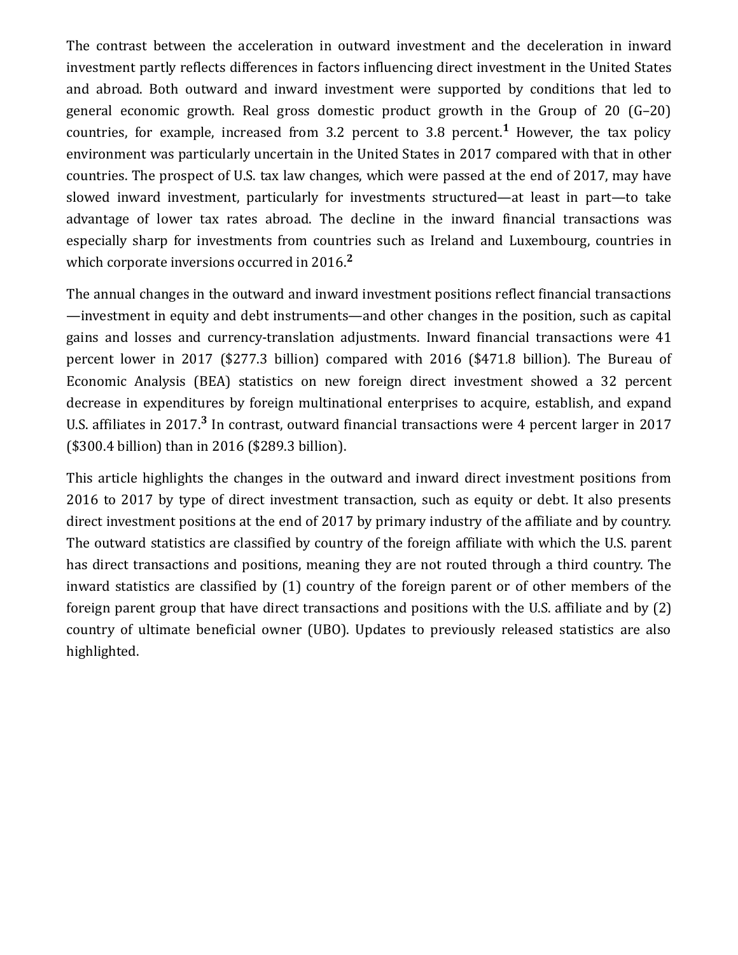The contrast between the acceleration in outward investment and the deceleration in inward investment partly reflects differences in factors influencing direct investment in the United States and abroad. Both outward and inward investment were supported by conditions that led to general economic growth. Real gross domestic product growth in the Group of 20  $(G-20)$ countries, for example, increased from 3.2 percent to 3.8 percent.<sup>1</sup> However, the tax policy environment was particularly uncertain in the United States in 2017 compared with that in other countries. The prospect of U.S. tax law changes, which were passed at the end of 2017, may have slowed inward investment, particularly for investments structured—at least in part—to take advantage of lower tax rates abroad. The decline in the inward financial transactions was especially sharp for investments from countries such as Ireland and Luxembourg, countries in which corporate inversions occurred in 2016.<sup>2</sup>

The annual changes in the outward and inward investment positions reflect financial transactions —investment in equity and debt instruments—and other changes in the position, such as capital gains and losses and currency-translation adjustments. Inward financial transactions were 41 percent lower in 2017 (\$277.3 billion) compared with 2016 (\$471.8 billion). The Bureau of Economic Analysis (BEA) statistics on new foreign direct investment showed a 32 percent decrease in expenditures by foreign multinational enterprises to acquire, establish, and expand U.S. affiliates in 2017.<sup>3</sup> In contrast, outward financial transactions were 4 percent larger in 2017 (\$300.4 billion) than in 2016 (\$289.3 billion).

This article highlights the changes in the outward and inward direct investment positions from 2016 to 2017 by type of direct investment transaction, such as equity or debt. It also presents direct investment positions at the end of 2017 by primary industry of the affiliate and by country. The outward statistics are classified by country of the foreign affiliate with which the U.S. parent has direct transactions and positions, meaning they are not routed through a third country. The inward statistics are classified by  $(1)$  country of the foreign parent or of other members of the foreign parent group that have direct transactions and positions with the U.S. affiliate and by  $(2)$ country of ultimate beneficial owner (UBO). Updates to previously released statistics are also highlighted.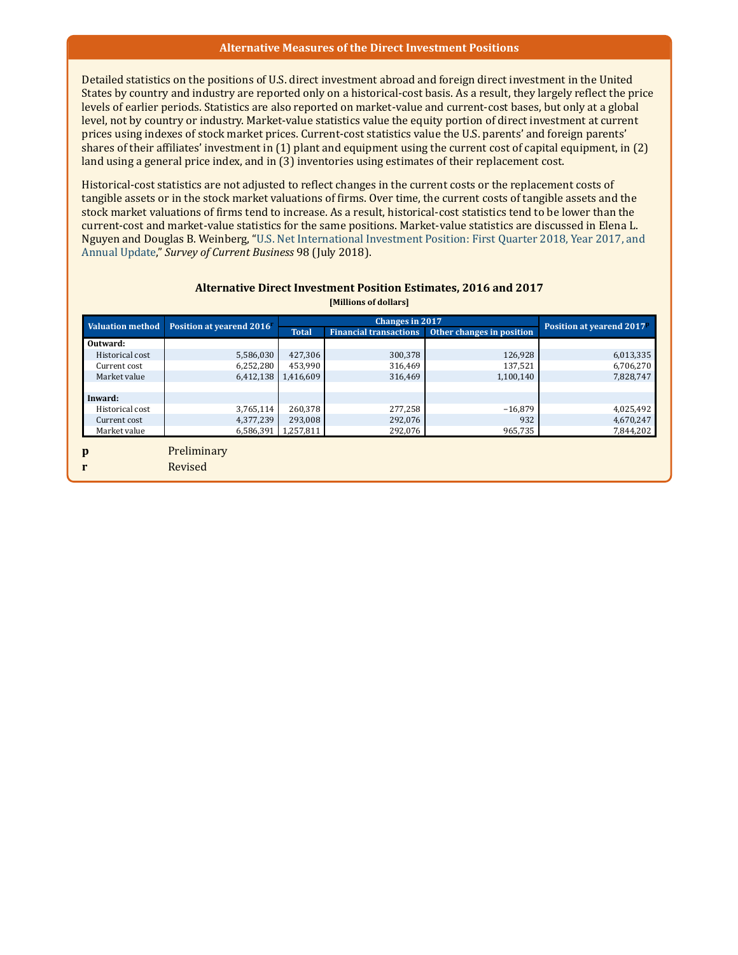#### Alternative Measures of the Direct Investment Positions

Detailed statistics on the positions of U.S. direct investment abroad and foreign direct investment in the United States by country and industry are reported only on a historical-cost basis. As a result, they largely reflect the price levels of earlier periods. Statistics are also reported on market-value and current-cost bases, but only at a global level, not by country or industry. Market-value statistics value the equity portion of direct investment at current prices using indexes of stock market prices. Current-cost statistics value the U.S. parents' and foreign parents' shares of their affiliates' investment in (1) plant and equipment using the current cost of capital equipment, in (2) land using a general price index, and in  $(3)$  inventories using estimates of their replacement cost.

Historical-cost statistics are not adjusted to reflect changes in the current costs or the replacement costs of tangible assets or in the stock market valuations of firms. Over time, the current costs of tangible assets and the stock market valuations of firms tend to increase. As a result, historical-cost statistics tend to be lower than the current-cost and market-value statistics for the same positions. Market-value statistics are discussed in Elena L. Nguyen and Douglas B. Weinberg, "U.S. Net International Investment Position: First Quarter 2018, Year 2017, and Annual Update," Survey of Current Business 98 (July 2018).

| <b>Alternative Direct Investment Position Estimates, 2016 and 2017</b> |
|------------------------------------------------------------------------|
| <b>IMillions of dollars</b>                                            |

| <b>Valuation method</b> | Position at yearend 2016 |              | Changes in 2017               |                           |                                       |  |  |  |  |  |  |
|-------------------------|--------------------------|--------------|-------------------------------|---------------------------|---------------------------------------|--|--|--|--|--|--|
|                         |                          | <b>Total</b> | <b>Financial transactions</b> | Other changes in position | Position at yearend 2017 <sup>P</sup> |  |  |  |  |  |  |
| Outward:                |                          |              |                               |                           |                                       |  |  |  |  |  |  |
| Historical cost         | 5,586,030                | 427,306      | 300,378                       | 126,928                   | 6,013,335                             |  |  |  |  |  |  |
| Current cost            | 6,252,280                | 453,990      | 316,469                       | 137.521                   | 6,706,270                             |  |  |  |  |  |  |
| Market value            | 6,412,138                | 1,416,609    | 316,469                       | 1,100,140                 | 7,828,747                             |  |  |  |  |  |  |
|                         |                          |              |                               |                           |                                       |  |  |  |  |  |  |
| Inward:                 |                          |              |                               |                           |                                       |  |  |  |  |  |  |
| Historical cost         | 3,765,114                | 260,378      | 277,258                       | $-16,879$                 | 4,025,492                             |  |  |  |  |  |  |
| Current cost            | 4,377,239                | 293,008      | 292,076                       | 932                       | 4,670,247                             |  |  |  |  |  |  |
| Market value            | 6,586,391                | 1,257,811    | 292,076                       | 965,735                   | 7,844,202                             |  |  |  |  |  |  |
|                         |                          |              |                               |                           |                                       |  |  |  |  |  |  |
| $\mathbf{p}$            | Preliminary              |              |                               |                           |                                       |  |  |  |  |  |  |
| r                       | Revised                  |              |                               |                           |                                       |  |  |  |  |  |  |
|                         |                          |              |                               |                           |                                       |  |  |  |  |  |  |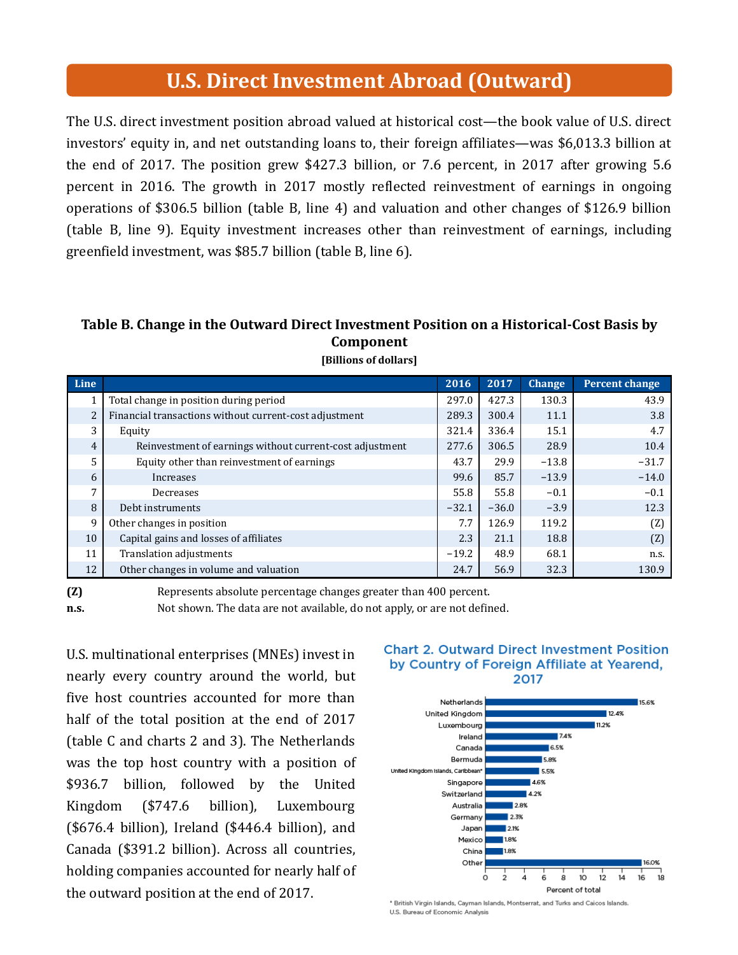## **U.S. Direct Investment Abroad (Outward)**

The U.S. direct investment position abroad valued at historical cost—the book value of U.S. direct investors' equity in, and net outstanding loans to, their foreign affiliates—was \$6,013.3 billion at the end of 2017. The position grew \$427.3 billion, or 7.6 percent, in 2017 after growing  $5.6$ percent in 2016. The growth in 2017 mostly reflected reinvestment of earnings in ongoing operations of \$306.5 billion (table B, line 4) and valuation and other changes of \$126.9 billion (table B, line 9). Equity investment increases other than reinvestment of earnings, including greenfield investment, was \$85.7 billion (table B, line 6).

### Table B. Change in the Outward Direct Investment Position on a Historical-Cost Basis by Component

| Line           |                                                          | 2016    | 2017    | <b>Change</b> | <b>Percent change</b> |
|----------------|----------------------------------------------------------|---------|---------|---------------|-----------------------|
|                | Total change in position during period                   | 297.0   | 427.3   | 130.3         | 43.9                  |
| $\overline{2}$ | Financial transactions without current-cost adjustment   | 289.3   | 300.4   | 11.1          | 3.8                   |
| 3              | Equity                                                   | 321.4   | 336.4   | 15.1          | 4.7                   |
| 4              | Reinvestment of earnings without current-cost adjustment | 277.6   | 306.5   | 28.9          | 10.4                  |
| $\overline{5}$ | Equity other than reinvestment of earnings               | 43.7    | 29.9    | $-13.8$       | $-31.7$               |
| 6              | Increases                                                | 99.6    | 85.7    | $-13.9$       | $-14.0$               |
| 7              | Decreases                                                | 55.8    | 55.8    | $-0.1$        | $-0.1$                |
| 8              | Debt instruments                                         | $-32.1$ | $-36.0$ | $-3.9$        | 12.3                  |
| 9              | Other changes in position                                | 7.7     | 126.9   | 119.2         | (Z)                   |
| 10             | Capital gains and losses of affiliates                   | 2.3     | 21.1    | 18.8          | (Z)                   |
| 11             | Translation adjustments                                  | $-19.2$ | 48.9    | 68.1          | n.s.                  |
| 12             | Other changes in volume and valuation                    | 24.7    | 56.9    | 32.3          | 130.9                 |

#### [Billions of dollars]

(Z) n.s. Represents absolute percentage changes greater than 400 percent.

Not shown. The data are not available, do not apply, or are not defined.

U.S. multinational enterprises (MNEs) invest in nearly every country around the world, but five host countries accounted for more than half of the total position at the end of 2017 (table C and charts 2 and 3). The Netherlands was the top host country with a position of \$936.7 billion, followed by the United Kingdom (\$747.6 billion), Luxembourg  $($676.4 billion)$ , Ireland  $($446.4 billion)$ , and Canada (\$391.2 billion). Across all countries, holding companies accounted for nearly half of the outward position at the end of 2017.

### **Chart 2. Outward Direct Investment Position** by Country of Foreign Affiliate at Yearend. 2017



\* British Virgin Islands, Cayman Islands, Montserrat, and Turks and Caicos Islands. U.S. Bureau of Economic Analysis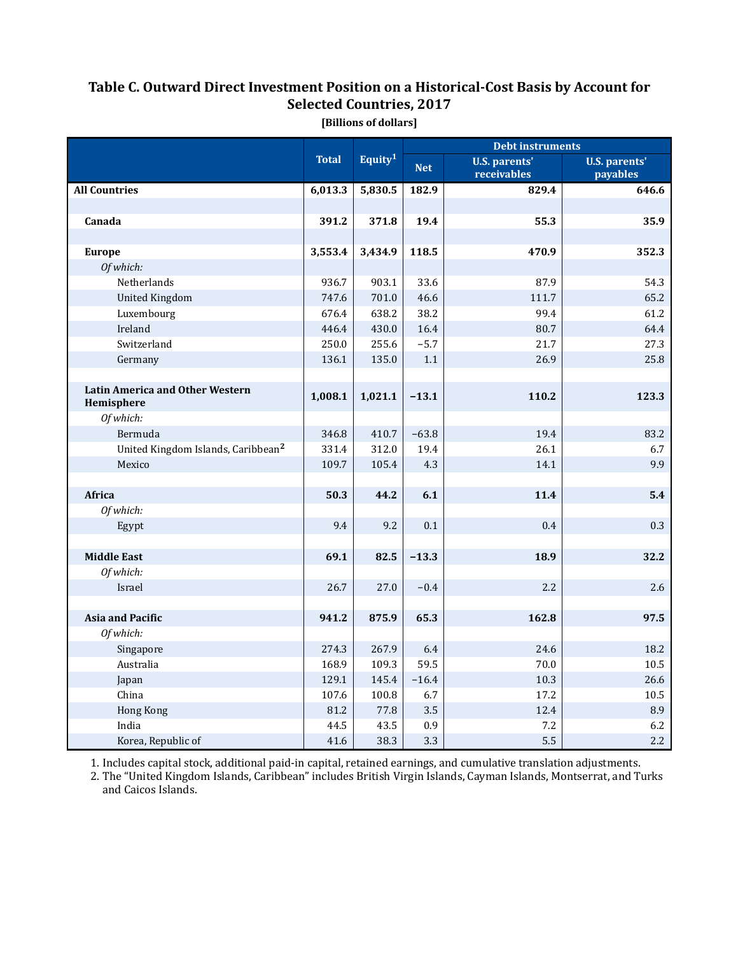### Table C. Outward Direct Investment Position on a Historical-Cost Basis by Account for Selected Countries, 2017

|                                                |              |                     | <b>Debt instruments</b> |                                     |                                  |  |
|------------------------------------------------|--------------|---------------------|-------------------------|-------------------------------------|----------------------------------|--|
|                                                | <b>Total</b> | Equity <sup>1</sup> | <b>Net</b>              | <b>U.S. parents'</b><br>receivables | <b>U.S. parents'</b><br>payables |  |
| <b>All Countries</b>                           | 6,013.3      | 5,830.5             | 182.9                   | 829.4                               | 646.6                            |  |
|                                                |              |                     |                         |                                     |                                  |  |
| Canada                                         | 391.2        | 371.8               | 19.4                    | 55.3                                | 35.9                             |  |
|                                                |              |                     |                         |                                     |                                  |  |
| <b>Europe</b>                                  | 3,553.4      | 3,434.9             | 118.5                   | 470.9                               | 352.3                            |  |
| Of which:                                      |              |                     |                         |                                     |                                  |  |
| Netherlands                                    | 936.7        | 903.1               | 33.6                    | 87.9                                | 54.3                             |  |
| <b>United Kingdom</b>                          | 747.6        | 701.0               | 46.6                    | 111.7                               | 65.2                             |  |
| Luxembourg                                     | 676.4        | 638.2               | 38.2                    | 99.4                                | 61.2                             |  |
| Ireland                                        | 446.4        | 430.0               | 16.4                    | 80.7                                | 64.4                             |  |
| Switzerland                                    | 250.0        | 255.6               | $-5.7$                  | 21.7                                | 27.3                             |  |
| Germany                                        | 136.1        | 135.0               | 1.1                     | 26.9                                | 25.8                             |  |
|                                                |              |                     |                         |                                     |                                  |  |
| Latin America and Other Western<br>Hemisphere  | 1,008.1      | 1,021.1             | $-13.1$                 | 110.2                               | 123.3                            |  |
| Of which:                                      |              |                     |                         |                                     |                                  |  |
| Bermuda                                        | 346.8        | 410.7               | $-63.8$                 | 19.4                                | 83.2                             |  |
| United Kingdom Islands, Caribbean <sup>2</sup> | 331.4        | 312.0               | 19.4                    | 26.1                                | 6.7                              |  |
| Mexico                                         | 109.7        | 105.4               | 4.3                     | 14.1                                | 9.9                              |  |
|                                                |              |                     |                         |                                     |                                  |  |
| Africa                                         | 50.3         | 44.2                | 6.1                     | 11.4                                | 5.4                              |  |
| Of which:                                      |              |                     |                         |                                     |                                  |  |
| Egypt                                          | 9.4          | 9.2                 | 0.1                     | 0.4                                 | 0.3                              |  |
|                                                |              |                     |                         |                                     |                                  |  |
| <b>Middle East</b>                             | 69.1         | 82.5                | $-13.3$                 | 18.9                                | 32.2                             |  |
| Of which:                                      |              |                     |                         |                                     |                                  |  |
| Israel                                         | 26.7         | 27.0                | $-0.4$                  | 2.2                                 | 2.6                              |  |
|                                                |              |                     |                         |                                     |                                  |  |
| <b>Asia and Pacific</b>                        | 941.2        | 875.9               | 65.3                    | 162.8                               | 97.5                             |  |
| Of which:                                      |              |                     |                         |                                     |                                  |  |
| Singapore                                      | 274.3        | 267.9               | 6.4                     | 24.6                                | 18.2                             |  |
| Australia                                      | 168.9        | 109.3               | 59.5                    | 70.0                                | 10.5                             |  |
| Japan                                          | 129.1        | 145.4               | $-16.4$                 | 10.3                                | 26.6                             |  |
| China                                          | 107.6        | 100.8               | 6.7                     | 17.2                                | 10.5                             |  |
| Hong Kong                                      | 81.2         | 77.8                | 3.5                     | 12.4                                | 8.9                              |  |
| India                                          | 44.5         | 43.5                | 0.9                     | 7.2                                 | 6.2                              |  |
| Korea, Republic of                             | 41.6         | 38.3                | 3.3                     | 5.5                                 | 2.2                              |  |

[Billions of dollars]

1. Includes capital stock, additional paid-in capital, retained earnings, and cumulative translation adjustments.

2. The "United Kingdom Islands, Caribbean" includes British Virgin Islands, Cayman Islands, Montserrat, and Turks and Caicos Islands.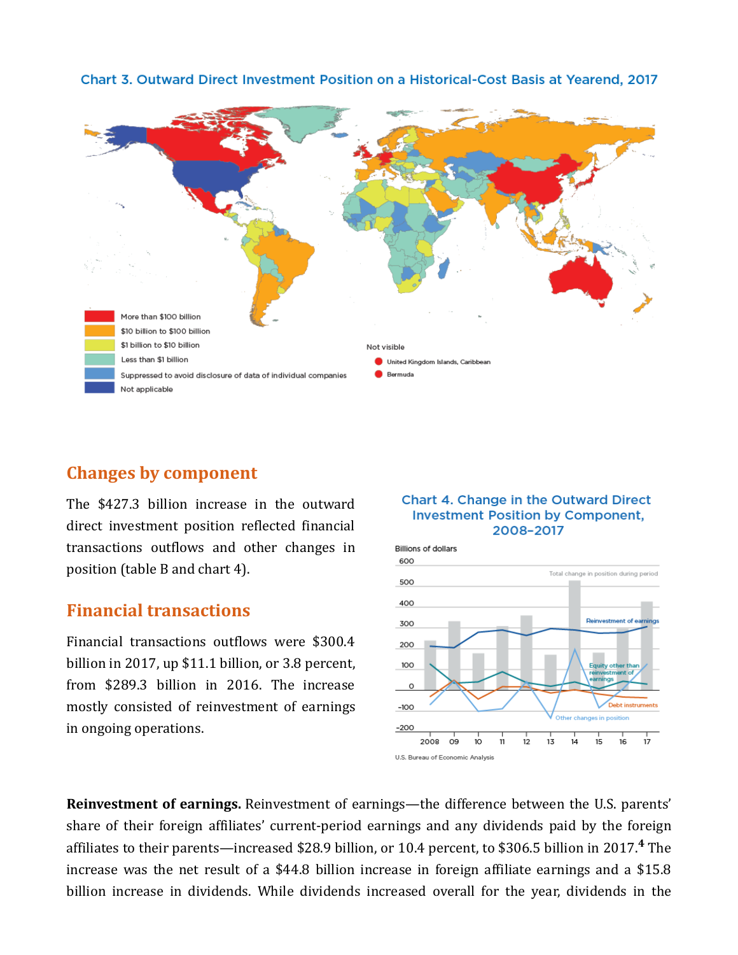

### Chart 3. Outward Direct Investment Position on a Historical-Cost Basis at Yearend, 2017

## Changes by component

The \$427.3 billion increase in the outward direct investment position reflected financial transactions outflows and other changes in position (table B and chart 4).

## **Financial transactions**

Financial transactions outflows were \$300.4 billion in 2017, up  $$11.1$  billion, or 3.8 percent, from \$289.3 billion in 2016. The increase mostly consisted of reinvestment of earnings in ongoing operations.

### Chart 4. Change in the Outward Direct **Investment Position by Component,** 2008-2017



Reinvestment of earnings. Reinvestment of earnings—the difference between the U.S. parents' share of their foreign affiliates' current-period earnings and any dividends paid by the foreign affiliates to their parents—increased \$28.9 billion, or 10.4 percent, to \$306.5 billion in 2017.<sup>4</sup> The increase was the net result of a \$44.8 billion increase in foreign affiliate earnings and a \$15.8 billion increase in dividends. While dividends increased overall for the year, dividends in the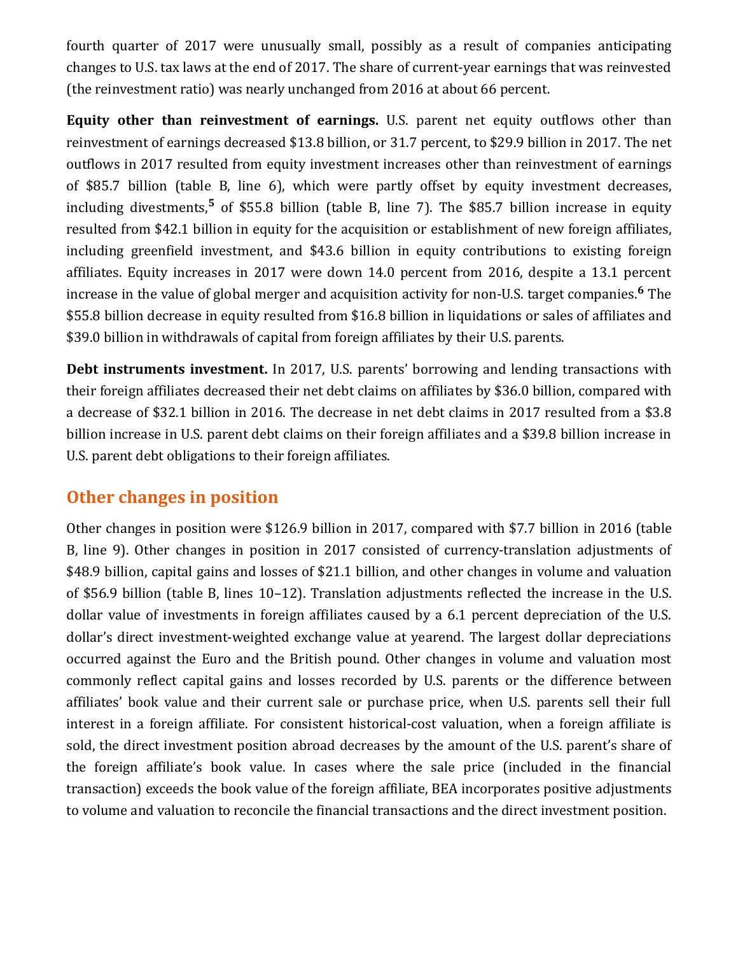fourth quarter of 2017 were unusually small, possibly as a result of companies anticipating changes to U.S. tax laws at the end of 2017. The share of current-year earnings that was reinvested (the reinvestment ratio) was nearly unchanged from 2016 at about 66 percent.

Equity other than reinvestment of earnings. U.S. parent net equity outflows other than reinvestment of earnings decreased \$13.8 billion, or 31.7 percent, to \$29.9 billion in 2017. The net outflows in 2017 resulted from equity investment increases other than reinvestment of earnings of \$85.7 billion (table B, line 6), which were partly offset by equity investment decreases, including divestments,<sup>5</sup> of \$55.8 billion (table B, line 7). The \$85.7 billion increase in equity resulted from \$42.1 billion in equity for the acquisition or establishment of new foreign affiliates, including greenfield investment, and \$43.6 billion in equity contributions to existing foreign affiliates. Equity increases in 2017 were down 14.0 percent from 2016, despite a 13.1 percent increase in the value of global merger and acquisition activity for non-U.S. target companies.<sup>6</sup> The \$55.8 billion decrease in equity resulted from \$16.8 billion in liquidations or sales of affiliates and \$39.0 billion in withdrawals of capital from foreign affiliates by their U.S. parents.

Debt instruments investment. In 2017, U.S. parents' borrowing and lending transactions with their foreign affiliates decreased their net debt claims on affiliates by \$36.0 billion, compared with a decrease of \$32.1 billion in 2016. The decrease in net debt claims in 2017 resulted from a \$3.8 billion increase in U.S. parent debt claims on their foreign affiliates and a \$39.8 billion increase in U.S. parent debt obligations to their foreign affiliates.

## Other changes in position

Other changes in position were \$126.9 billion in 2017, compared with \$7.7 billion in 2016 (table B, line 9). Other changes in position in 2017 consisted of currency-translation adjustments of \$48.9 billion, capital gains and losses of \$21.1 billion, and other changes in volume and valuation of \$56.9 billion (table B, lines 10–12). Translation adjustments reflected the increase in the U.S. dollar value of investments in foreign affiliates caused by a 6.1 percent depreciation of the U.S. dollar's direct investment-weighted exchange value at yearend. The largest dollar depreciations occurred against the Euro and the British pound. Other changes in volume and valuation most commonly reflect capital gains and losses recorded by U.S. parents or the difference between affiliates' book value and their current sale or purchase price, when U.S. parents sell their full interest in a foreign affiliate. For consistent historical-cost valuation, when a foreign affiliate is sold, the direct investment position abroad decreases by the amount of the U.S. parent's share of the foreign affiliate's book value. In cases where the sale price (included in the financial transaction) exceeds the book value of the foreign affiliate, BEA incorporates positive adjustments to volume and valuation to reconcile the financial transactions and the direct investment position.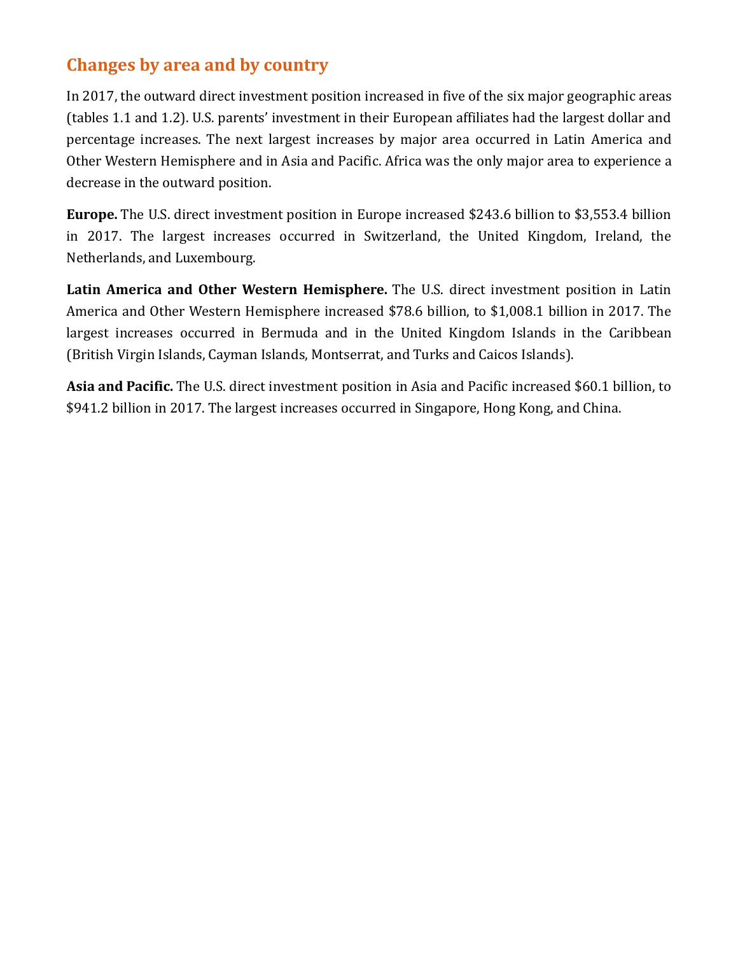## Changes by area and by country

In 2017, the outward direct investment position increased in five of the six major geographic areas (tables 1.1 and 1.2). U.S. parents' investment in their European affiliates had the largest dollar and percentage increases. The next largest increases by major area occurred in Latin America and Other Western Hemisphere and in Asia and Pacific. Africa was the only major area to experience a decrease in the outward position.

**Europe.** The U.S. direct investment position in Europe increased \$243.6 billion to \$3,553.4 billion in 2017. The largest increases occurred in Switzerland, the United Kingdom, Ireland, the Netherlands, and Luxembourg.

Latin America and Other Western Hemisphere. The U.S. direct investment position in Latin America and Other Western Hemisphere increased \$78.6 billion, to \$1,008.1 billion in 2017. The largest increases occurred in Bermuda and in the United Kingdom Islands in the Caribbean (British Virgin Islands, Cayman Islands, Montserrat, and Turks and Caicos Islands).

Asia and Pacific. The U.S. direct investment position in Asia and Pacific increased \$60.1 billion, to \$941.2 billion in 2017. The largest increases occurred in Singapore, Hong Kong, and China.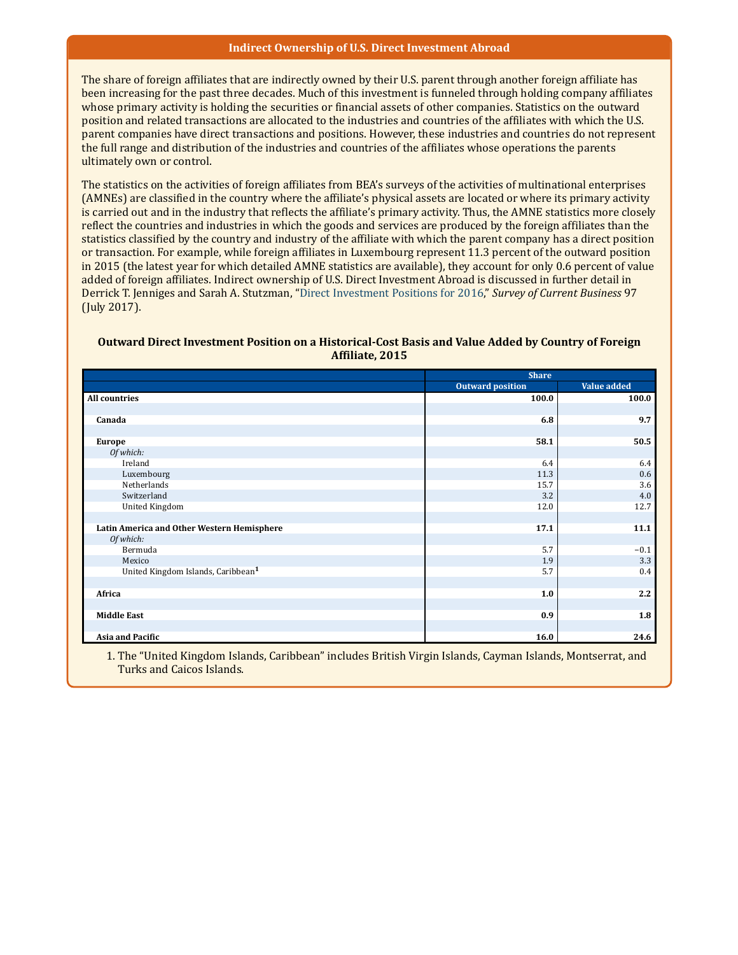#### Indirect Ownership of U.S. Direct Investment Abroad

The share of foreign affiliates that are indirectly owned by their U.S. parent through another foreign affiliate has been increasing for the past three decades. Much of this investment is funneled through holding company affiliates whose primary activity is holding the securities or financial assets of other companies. Statistics on the outward position and related transactions are allocated to the industries and countries of the affiliates with which the U.S. parent companies have direct transactions and positions. However, these industries and countries do not represent the full range and distribution of the industries and countries of the affiliates whose operations the parents ultimately own or control.

The statistics on the activities of foreign affiliates from BEA's surveys of the activities of multinational enterprises (AMNEs) are classified in the country where the affiliate's physical assets are located or where its primary activity is carried out and in the industry that reflects the affiliate's primary activity. Thus, the AMNE statistics more closely reflect the countries and industries in which the goods and services are produced by the foreign affiliates than the statistics classified by the country and industry of the affiliate with which the parent company has a direct position or transaction. For example, while foreign affiliates in Luxembourg represent 11.3 percent of the outward position in 2015 (the latest year for which detailed AMNE statistics are available), they account for only 0.6 percent of value added of foreign affiliates. Indirect ownership of U.S. Direct Investment Abroad is discussed in further detail in Derrick T. Jenniges and Sarah A. Stutzman, "Direct Investment Positions for 2016," *Survey of Current Business* 97 (July 2017).

#### Outward Direct Investment Position on a Historical-Cost Basis and Value Added by Country of Foreign Affiliate, 2015

|                                                | <b>Share</b>            |             |  |
|------------------------------------------------|-------------------------|-------------|--|
|                                                | <b>Outward position</b> | Value added |  |
| <b>All countries</b>                           | 100.0                   | 100.0       |  |
|                                                |                         |             |  |
| Canada                                         | 6.8                     | 9.7         |  |
|                                                |                         |             |  |
| <b>Europe</b>                                  | 58.1                    | 50.5        |  |
| Of which:                                      |                         |             |  |
| Ireland                                        | 6.4                     | 6.4         |  |
| Luxembourg                                     | 11.3                    | 0.6         |  |
| Netherlands                                    | 15.7                    | 3.6         |  |
| Switzerland                                    | 3.2                     | 4.0         |  |
| <b>United Kingdom</b>                          | 12.0                    | 12.7        |  |
|                                                |                         |             |  |
| Latin America and Other Western Hemisphere     | 17.1                    | 11.1        |  |
| Of which:                                      |                         |             |  |
| Bermuda                                        | 5.7                     | $-0.1$      |  |
| Mexico                                         | 1.9                     | 3.3         |  |
| United Kingdom Islands, Caribbean <sup>1</sup> | 5.7                     | 0.4         |  |
|                                                |                         |             |  |
| Africa                                         | 1.0                     | 2.2         |  |
|                                                |                         |             |  |
| <b>Middle East</b>                             | 0.9                     | 1.8         |  |
|                                                |                         |             |  |
| Asia and Pacific                               | 16.0                    | 24.6        |  |

1. The "United Kingdom Islands, Caribbean" includes British Virgin Islands, Cayman Islands, Montserrat, and Turks and Caicos Islands.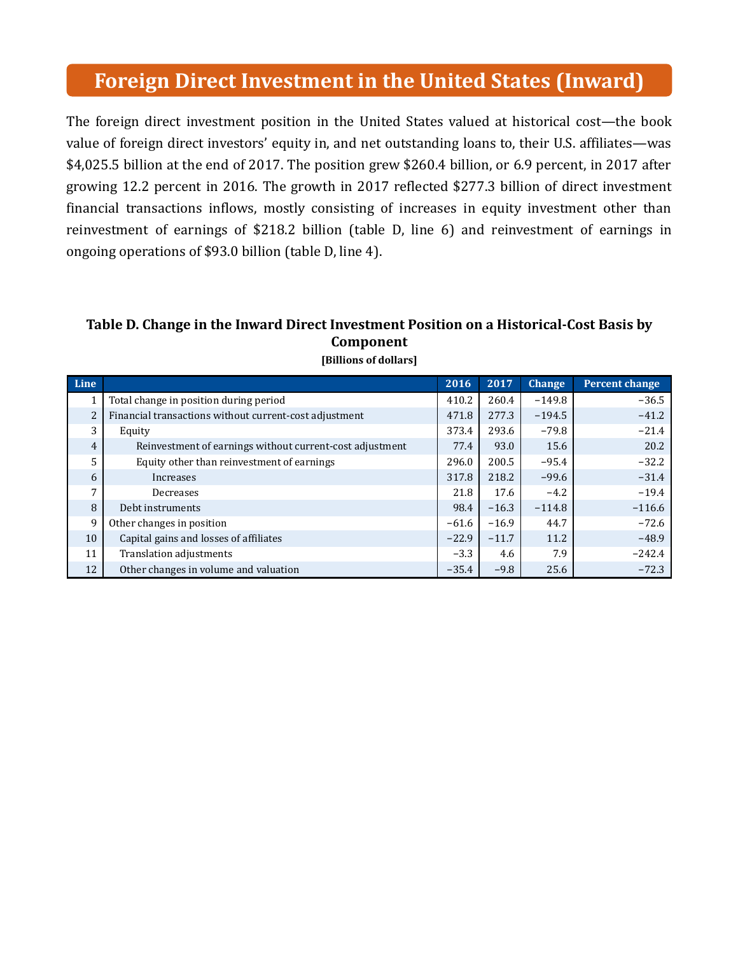## Foreign Direct Investment in the United States (Inward)

The foreign direct investment position in the United States valued at historical cost—the book value of foreign direct investors' equity in, and net outstanding loans to, their U.S. affiliates—was \$4,025.5 billion at the end of 2017. The position grew \$260.4 billion, or 6.9 percent, in 2017 after growing 12.2 percent in 2016. The growth in 2017 reflected \$277.3 billion of direct investment financial transactions inflows, mostly consisting of increases in equity investment other than reinvestment of earnings of \$218.2 billion (table D, line 6) and reinvestment of earnings in ongoing operations of \$93.0 billion (table D, line 4).

## Table D. Change in the Inward Direct Investment Position on a Historical-Cost Basis by Component

| Line           |                                                          | 2016    | 2017    | <b>Change</b> | <b>Percent change</b> |
|----------------|----------------------------------------------------------|---------|---------|---------------|-----------------------|
|                | Total change in position during period                   | 410.2   | 260.4   | $-149.8$      | $-36.5$               |
| $\overline{2}$ | Financial transactions without current-cost adjustment   | 471.8   | 277.3   | $-194.5$      | $-41.2$               |
| 3              | Equity                                                   | 373.4   | 293.6   | $-79.8$       | $-21.4$               |
| 4              | Reinvestment of earnings without current-cost adjustment | 77.4    | 93.0    | 15.6          | 20.2                  |
| 5              | Equity other than reinvestment of earnings               | 296.0   | 200.5   | $-95.4$       | $-32.2$               |
| 6              | Increases                                                | 317.8   | 218.2   | $-99.6$       | $-31.4$               |
| 7              | Decreases                                                | 21.8    | 17.6    | $-4.2$        | $-19.4$               |
| 8              | Debt instruments                                         | 98.4    | $-16.3$ | $-114.8$      | $-116.6$              |
| 9              | Other changes in position                                | $-61.6$ | $-16.9$ | 44.7          | $-72.6$               |
| 10             | Capital gains and losses of affiliates                   | $-22.9$ | $-11.7$ | 11.2          | $-48.9$               |
| 11             | Translation adjustments                                  | $-3.3$  | 4.6     | 7.9           | $-242.4$              |
| 12             | Other changes in volume and valuation                    | $-35.4$ | $-9.8$  | 25.6          | $-72.3$               |

[Billions of dollars]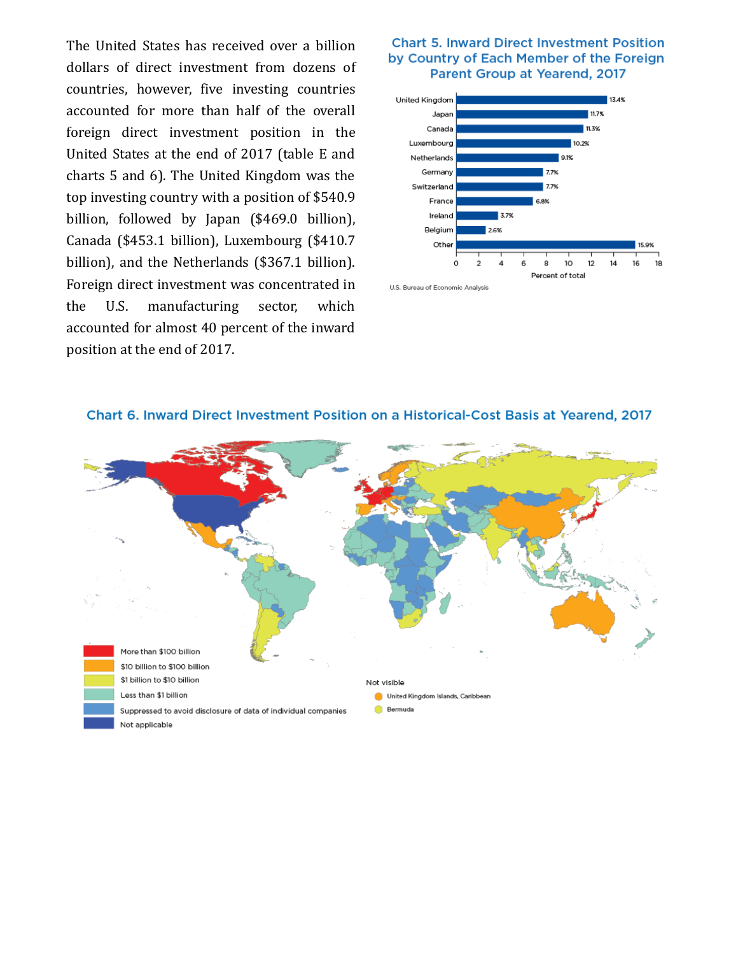The United States has received over a billion dollars of direct investment from dozens of countries, however, five investing countries accounted for more than half of the overall foreign direct investment position in the United States at the end of 2017 (table E and charts 5 and 6). The United Kingdom was the top investing country with a position of \$540.9 billion, followed by Japan (\$469.0 billion), Canada (\$453.1 billion), Luxembourg (\$410.7 billion), and the Netherlands (\$367.1 billion). Foreign direct investment was concentrated in the U.S. manufacturing sector, which accounted for almost 40 percent of the inward position at the end of 2017.

### **Chart 5. Inward Direct Investment Position** by Country of Each Member of the Foreign Parent Group at Yearend, 2017







#### Chart 6. Inward Direct Investment Position on a Historical-Cost Basis at Yearend, 2017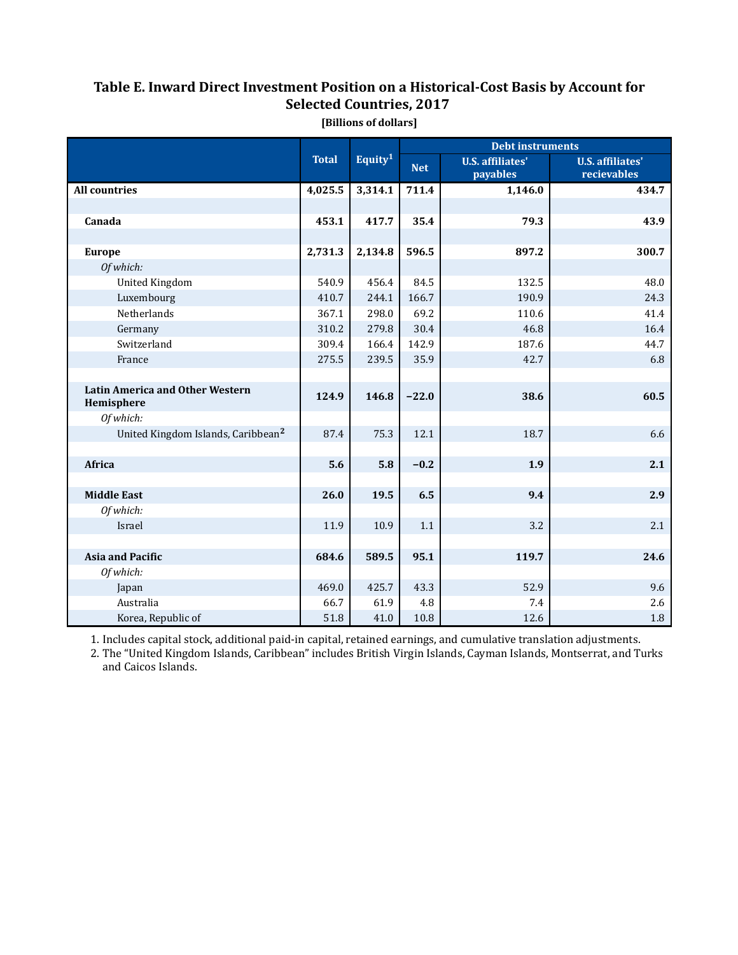### Table E. Inward Direct Investment Position on a Historical-Cost Basis by Account for Selected Countries, 2017

|                                                      |              |                     | <b>Debt instruments</b> |                                     |                                        |  |
|------------------------------------------------------|--------------|---------------------|-------------------------|-------------------------------------|----------------------------------------|--|
|                                                      | <b>Total</b> | Equity <sup>1</sup> | <b>Net</b>              | <b>U.S.</b> affiliates'<br>payables | <b>U.S.</b> affiliates'<br>recievables |  |
| <b>All countries</b>                                 | 4,025.5      | 3,314.1             | 711.4                   | 1,146.0                             | 434.7                                  |  |
|                                                      |              |                     |                         |                                     |                                        |  |
| Canada                                               | 453.1        | 417.7               | 35.4                    | 79.3                                | 43.9                                   |  |
|                                                      |              |                     |                         |                                     |                                        |  |
| <b>Europe</b>                                        | 2,731.3      | 2,134.8             | 596.5                   | 897.2                               | 300.7                                  |  |
| Of which:                                            |              |                     |                         |                                     |                                        |  |
| <b>United Kingdom</b>                                | 540.9        | 456.4               | 84.5                    | 132.5                               | 48.0                                   |  |
| Luxembourg                                           | 410.7        | 244.1               | 166.7                   | 190.9                               | 24.3                                   |  |
| Netherlands                                          | 367.1        | 298.0               | 69.2                    | 110.6                               | 41.4                                   |  |
| Germany                                              | 310.2        | 279.8               | 30.4                    | 46.8                                | 16.4                                   |  |
| Switzerland                                          | 309.4        | 166.4               | 142.9                   | 187.6                               | 44.7                                   |  |
| France                                               | 275.5        | 239.5               | 35.9                    | 42.7                                | 6.8                                    |  |
|                                                      |              |                     |                         |                                     |                                        |  |
| <b>Latin America and Other Western</b><br>Hemisphere | 124.9        | 146.8               | $-22.0$                 | 38.6                                | 60.5                                   |  |
| Of which:                                            |              |                     |                         |                                     |                                        |  |
| United Kingdom Islands, Caribbean <sup>2</sup>       | 87.4         | 75.3                | 12.1                    | 18.7                                | 6.6                                    |  |
|                                                      |              |                     |                         |                                     |                                        |  |
| Africa                                               | 5.6          | 5.8                 | $-0.2$                  | 1.9                                 | 2.1                                    |  |
|                                                      |              |                     |                         |                                     |                                        |  |
| <b>Middle East</b>                                   | 26.0         | 19.5                | 6.5                     | 9.4                                 | 2.9                                    |  |
| Of which:                                            |              |                     |                         |                                     |                                        |  |
| Israel                                               | 11.9         | 10.9                | 1.1                     | 3.2                                 | 2.1                                    |  |
|                                                      |              |                     |                         |                                     |                                        |  |
| <b>Asia and Pacific</b>                              | 684.6        | 589.5               | 95.1                    | 119.7                               | 24.6                                   |  |
| Of which:                                            |              |                     |                         |                                     |                                        |  |
| Japan                                                | 469.0        | 425.7               | 43.3                    | 52.9                                | 9.6                                    |  |
| Australia                                            | 66.7         | 61.9                | 4.8                     | 7.4                                 | 2.6                                    |  |
| Korea, Republic of                                   | 51.8         | 41.0                | 10.8                    | 12.6                                | 1.8                                    |  |

[Billions of dollars]

1. Includes capital stock, additional paid-in capital, retained earnings, and cumulative translation adjustments.

2. The "United Kingdom Islands, Caribbean" includes British Virgin Islands, Cayman Islands, Montserrat, and Turks and Caicos Islands.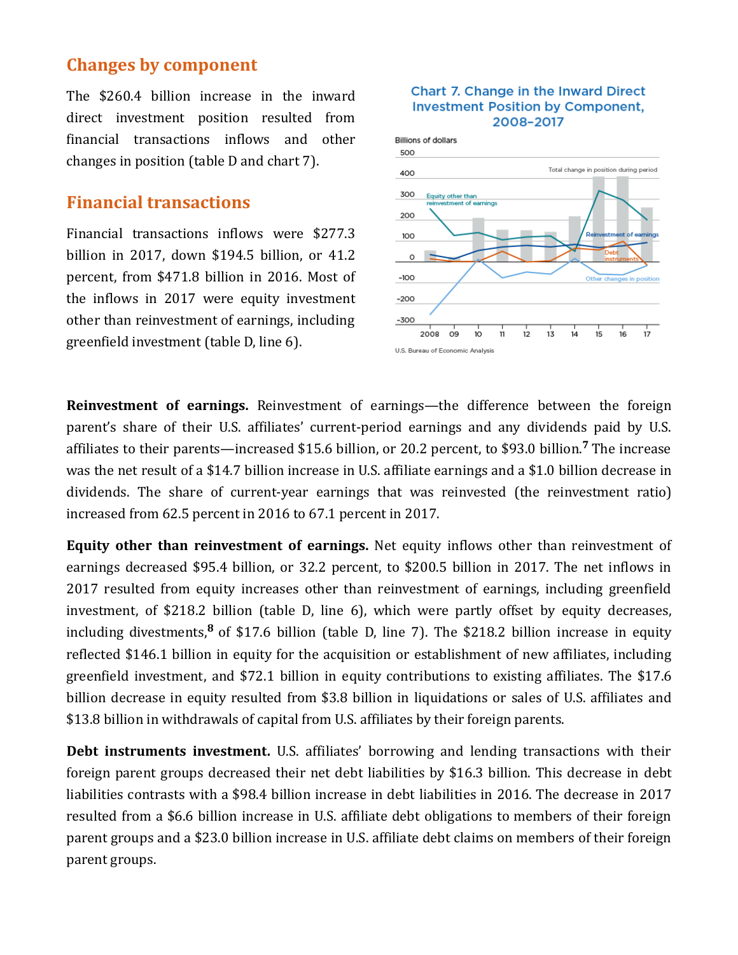## Changes by component

The \$260.4 billion increase in the inward direct investment position resulted from financial transactions inflows and other changes in position (table  $D$  and chart  $7$ ).

## **Financial transactions**

Financial transactions inflows were \$277.3 billion in  $2017$ , down \$194.5 billion, or  $41.2$ percent, from \$471.8 billion in 2016. Most of the inflows in 2017 were equity investment other than reinvestment of earnings, including greenfield investment (table D, line 6).





Reinvestment of earnings. Reinvestment of earnings—the difference between the foreign parent's share of their U.S. affiliates' current-period earnings and any dividends paid by U.S. affiliates to their parents—increased \$15.6 billion, or 20.2 percent, to \$93.0 billion.<sup>7</sup> The increase was the net result of a \$14.7 billion increase in U.S. affiliate earnings and a \$1.0 billion decrease in dividends. The share of current-year earnings that was reinvested (the reinvestment ratio) increased from 62.5 percent in 2016 to 67.1 percent in 2017.

Equity other than reinvestment of earnings. Net equity inflows other than reinvestment of earnings decreased \$95.4 billion, or 32.2 percent, to \$200.5 billion in 2017. The net inflows in 2017 resulted from equity increases other than reinvestment of earnings, including greenfield investment, of \$218.2 billion (table D, line 6), which were partly offset by equity decreases, including divestments,  $\frac{8}{5}$  of \$17.6 billion (table D, line 7). The \$218.2 billion increase in equity reflected \$146.1 billion in equity for the acquisition or establishment of new affiliates, including greenfield investment, and \$72.1 billion in equity contributions to existing affiliates. The \$17.6 billion decrease in equity resulted from \$3.8 billion in liquidations or sales of U.S. affiliates and \$13.8 billion in withdrawals of capital from U.S. affiliates by their foreign parents.

Debt instruments investment. U.S. affiliates' borrowing and lending transactions with their foreign parent groups decreased their net debt liabilities by \$16.3 billion. This decrease in debt liabilities contrasts with a \$98.4 billion increase in debt liabilities in 2016. The decrease in 2017 resulted from a \$6.6 billion increase in U.S. affiliate debt obligations to members of their foreign parent groups and a \$23.0 billion increase in U.S. affiliate debt claims on members of their foreign parent groups.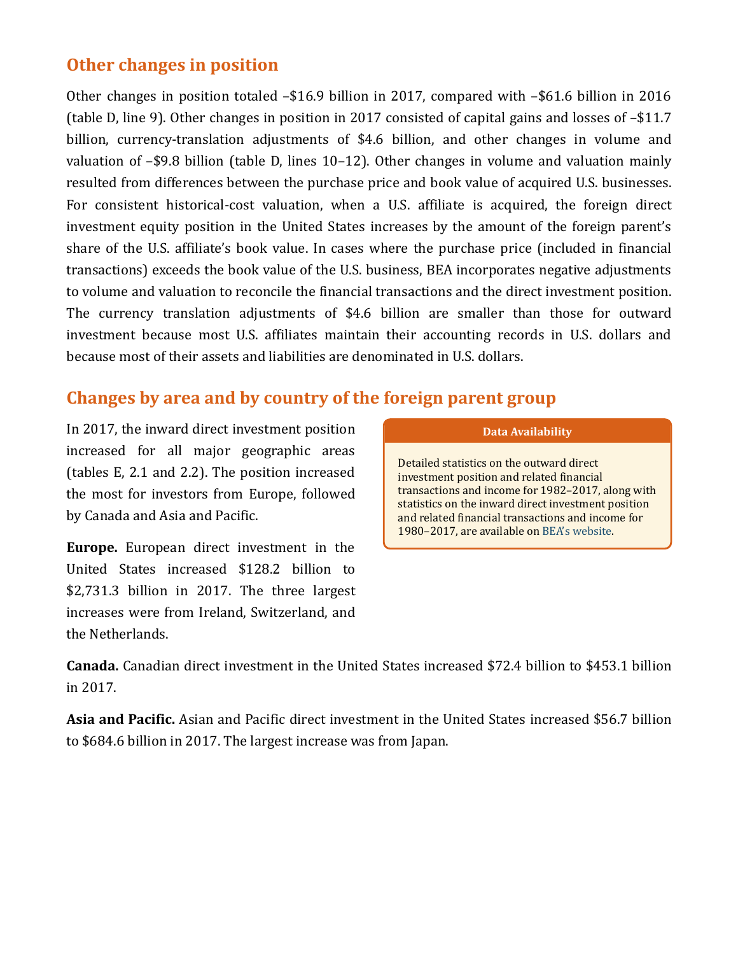## Other changes in position

Other changes in position totaled  $-$16.9$  billion in 2017, compared with  $-$61.6$  billion in 2016 (table D, line 9). Other changes in position in 2017 consisted of capital gains and losses of  $-\$11.7$ billion, currency-translation adjustments of \$4.6 billion, and other changes in volume and valuation of  $-$ \$9.8 billion (table D, lines 10–12). Other changes in volume and valuation mainly resulted from differences between the purchase price and book value of acquired U.S. businesses. For consistent historical-cost valuation, when a U.S. affiliate is acquired, the foreign direct investment equity position in the United States increases by the amount of the foreign parent's share of the U.S. affiliate's book value. In cases where the purchase price (included in financial transactions) exceeds the book value of the U.S. business, BEA incorporates negative adjustments to volume and valuation to reconcile the financial transactions and the direct investment position. The currency translation adjustments of \$4.6 billion are smaller than those for outward investment because most U.S. affiliates maintain their accounting records in U.S. dollars and because most of their assets and liabilities are denominated in U.S. dollars.

## Changes by area and by country of the foreign parent group

In 2017, the inward direct investment position increased for all major geographic areas (tables  $E$ , 2.1 and 2.2). The position increased the most for investors from Europe, followed by Canada and Asia and Pacific.

**Europe.** European direct investment in the United States increased \$128.2 billion to  $$2,731.3$  billion in 2017. The three largest increases were from Ireland, Switzerland, and the Netherlands.

### Data Availability

Detailed statistics on the outward direct investment position and related financial transactions and income for 1982-2017, along with statistics on the inward direct investment position and related financial transactions and income for 1980–2017, are available on BEA's website.

**Canada.** Canadian direct investment in the United States increased \$72.4 billion to \$453.1 billion in 2017.

Asia and Pacific. Asian and Pacific direct investment in the United States increased \$56.7 billion to \$684.6 billion in 2017. The largest increase was from Japan.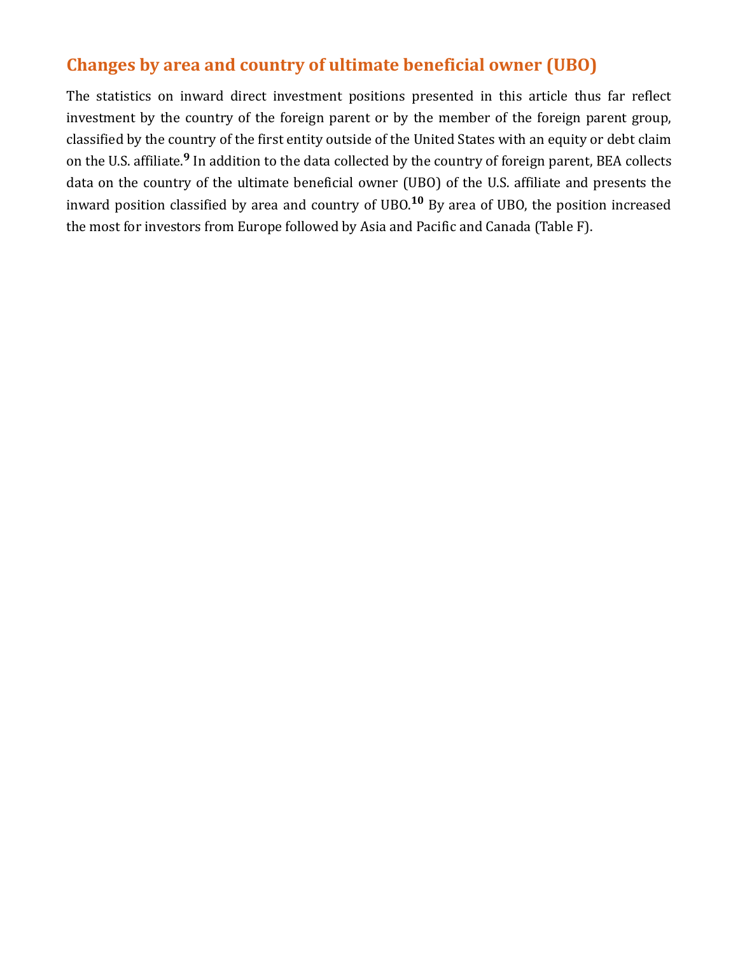## Changes by area and country of ultimate beneficial owner (UBO)

The statistics on inward direct investment positions presented in this article thus far reflect investment by the country of the foreign parent or by the member of the foreign parent group, classified by the country of the first entity outside of the United States with an equity or debt claim on the U.S. affiliate.<sup>9</sup> In addition to the data collected by the country of foreign parent, BEA collects data on the country of the ultimate beneficial owner (UBO) of the U.S. affiliate and presents the inward position classified by area and country of UBO.<sup>10</sup> By area of UBO, the position increased the most for investors from Europe followed by Asia and Pacific and Canada (Table F).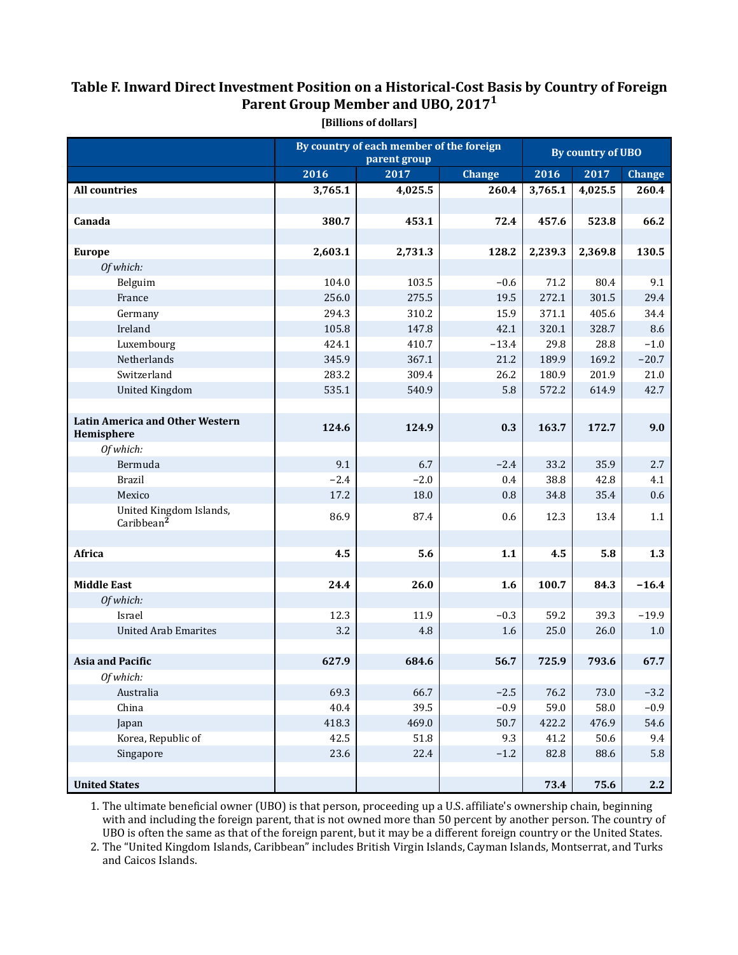## Table F. Inward Direct Investment Position on a Historical-Cost Basis by Country of Foreign Parent Group Member and UBO, 2017 $^{\rm 1}$

|                                                      |         | By country of each member of the foreign<br>parent group | By country of UBO |         |         |               |
|------------------------------------------------------|---------|----------------------------------------------------------|-------------------|---------|---------|---------------|
|                                                      | 2016    | 2017                                                     | <b>Change</b>     | 2016    | 2017    | <b>Change</b> |
| <b>All countries</b>                                 | 3,765.1 | 4,025.5                                                  | 260.4             | 3,765.1 | 4,025.5 | 260.4         |
|                                                      |         |                                                          |                   |         |         |               |
| Canada                                               | 380.7   | 453.1                                                    | 72.4              | 457.6   | 523.8   | 66.2          |
|                                                      |         |                                                          |                   |         |         |               |
| <b>Europe</b>                                        | 2,603.1 | 2,731.3                                                  | 128.2             | 2,239.3 | 2,369.8 | 130.5         |
| Of which:                                            |         |                                                          |                   |         |         |               |
| Belguim                                              | 104.0   | 103.5                                                    | $-0.6$            | 71.2    | 80.4    | 9.1           |
| France                                               | 256.0   | 275.5                                                    | 19.5              | 272.1   | 301.5   | 29.4          |
| Germany                                              | 294.3   | 310.2                                                    | 15.9              | 371.1   | 405.6   | 34.4          |
| Ireland                                              | 105.8   | 147.8                                                    | 42.1              | 320.1   | 328.7   | 8.6           |
| Luxembourg                                           | 424.1   | 410.7                                                    | $-13.4$           | 29.8    | 28.8    | $-1.0$        |
| Netherlands                                          | 345.9   | 367.1                                                    | 21.2              | 189.9   | 169.2   | $-20.7$       |
| Switzerland                                          | 283.2   | 309.4                                                    | 26.2              | 180.9   | 201.9   | 21.0          |
| <b>United Kingdom</b>                                | 535.1   | 540.9                                                    | 5.8               | 572.2   | 614.9   | 42.7          |
|                                                      |         |                                                          |                   |         |         |               |
| <b>Latin America and Other Western</b><br>Hemisphere | 124.6   | 124.9                                                    | 0.3               | 163.7   | 172.7   | 9.0           |
| Of which:                                            |         |                                                          |                   |         |         |               |
| Bermuda                                              | 9.1     | 6.7                                                      | $-2.4$            | 33.2    | 35.9    | 2.7           |
| <b>Brazil</b>                                        | $-2.4$  | $-2.0$                                                   | 0.4               | 38.8    | 42.8    | 4.1           |
| Mexico                                               | 17.2    | 18.0                                                     | $0.8\,$           | 34.8    | 35.4    | 0.6           |
| United Kingdom Islands,<br>Caribbean <sup>2</sup>    | 86.9    | 87.4                                                     | 0.6               | 12.3    | 13.4    | 1.1           |
|                                                      |         |                                                          |                   |         |         |               |
| Africa                                               | 4.5     | 5.6                                                      | 1.1               | 4.5     | 5.8     | 1.3           |
|                                                      |         |                                                          |                   |         |         |               |
| <b>Middle East</b>                                   | 24.4    | 26.0                                                     | 1.6               | 100.7   | 84.3    | $-16.4$       |
| Of which:                                            |         |                                                          |                   |         |         |               |
| Israel                                               | 12.3    | 11.9                                                     | $-0.3$            | 59.2    | 39.3    | $-19.9$       |
| <b>United Arab Emarites</b>                          | 3.2     | 4.8                                                      | 1.6               | 25.0    | 26.0    | 1.0           |
|                                                      |         |                                                          |                   |         |         |               |
| <b>Asia and Pacific</b>                              | 627.9   | 684.6                                                    | 56.7              | 725.9   | 793.6   | 67.7          |
| Of which:                                            |         |                                                          |                   |         |         |               |
| Australia                                            | 69.3    | 66.7                                                     | $-2.5$            | 76.2    | 73.0    | $-3.2$        |
| China                                                | 40.4    | 39.5                                                     | $-0.9$            | 59.0    | 58.0    | $-0.9$        |
| Japan                                                | 418.3   | 469.0                                                    | 50.7              | 422.2   | 476.9   | 54.6          |
| Korea, Republic of                                   | 42.5    | 51.8                                                     | 9.3               | 41.2    | 50.6    | 9.4           |
| Singapore                                            | 23.6    | 22.4                                                     | $-1.2$            | 82.8    | 88.6    | $5.8\,$       |
|                                                      |         |                                                          |                   |         |         |               |
| <b>United States</b>                                 |         |                                                          |                   | 73.4    | 75.6    | 2.2           |

[Billions of dollars]

1. The ultimate beneficial owner (UBO) is that person, proceeding up a U.S. affiliate's ownership chain, beginning with and including the foreign parent, that is not owned more than 50 percent by another person. The country of UBO is often the same as that of the foreign parent, but it may be a different foreign country or the United States.

2. The "United Kingdom Islands, Caribbean" includes British Virgin Islands, Cayman Islands, Montserrat, and Turks and Caicos Islands.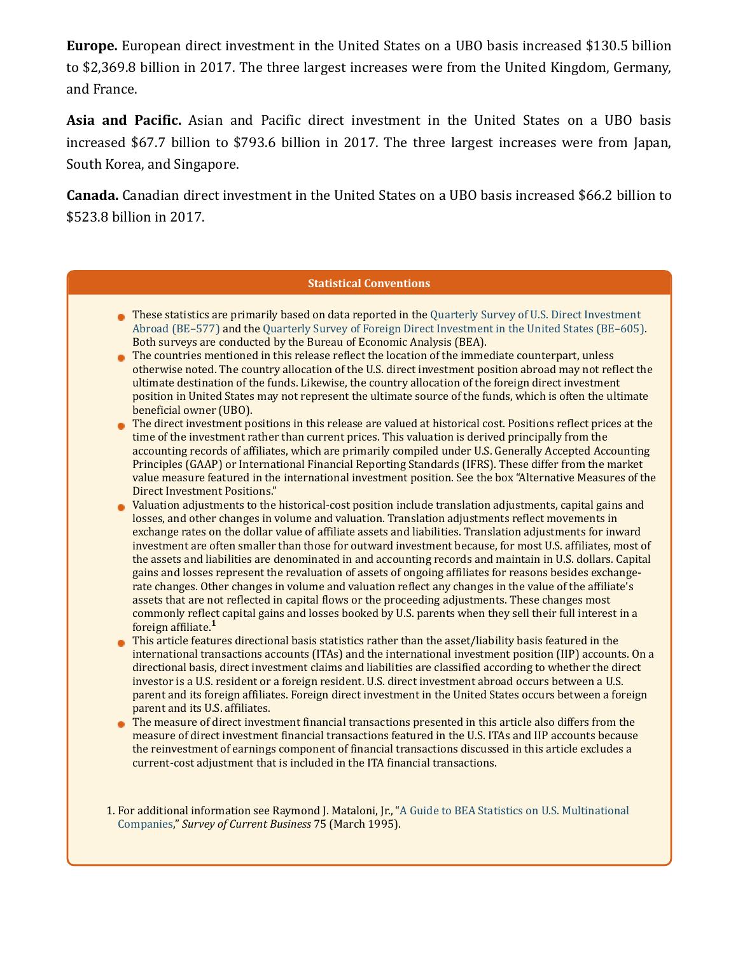**Europe.** European direct investment in the United States on a UBO basis increased \$130.5 billion to \$2,369.8 billion in 2017. The three largest increases were from the United Kingdom, Germany, and France.

Asia and Pacific. Asian and Pacific direct investment in the United States on a UBO basis increased \$67.7 billion to \$793.6 billion in 2017. The three largest increases were from Japan, South Korea, and Singapore.

**Canada.** Canadian direct investment in the United States on a UBO basis increased \$66.2 billion to \$523.8 billion in 2017.

### **Statistical Conventions**

- These statistics are primarily based on data reported in the Quarterly Survey of U.S. Direct Investment Abroad (BE-577) and the Quarterly Survey of Foreign Direct Investment in the United States (BE-605[\).](https://apps.bea.gov/surveys/pdf/be605.pdf) Both surveys are conducted by the Bureau of Economic Analysis (BEA).
- The countries mentioned in this release reflect the location of the immediate counterpart, unless otherwise noted. The country allocation of the U.S. direct investment position abroad may not reflect the ultimate destination of the funds. Likewise, the country allocation of the foreign direct investment position in United States may not represent the ultimate source of the funds, which is often the ultimate beneficial owner (UBO).
- The direct investment positions in this release are valued at historical cost. Positions reflect prices at the time of the investment rather than current prices. This valuation is derived principally from the accounting records of affiliates, which are primarily compiled under U.S. Generally Accepted Accounting Principles (GAAP) or International Financial Reporting Standards (IFRS). These differ from the market value measure featured in the international investment position. See the box "Alternative Measures of the Direct Investment Positions."
- Valuation adjustments to the historical-cost position include translation adjustments, capital gains and losses, and other changes in volume and valuation. Translation adjustments reflect movements in exchange rates on the dollar value of affiliate assets and liabilities. Translation adjustments for inward investment are often smaller than those for outward investment because, for most U.S. affiliates, most of the assets and liabilities are denominated in and accounting records and maintain in U.S. dollars. Capital gains and losses represent the revaluation of assets of ongoing affiliates for reasons besides exchangerate changes. Other changes in volume and valuation reflect any changes in the value of the affiliate's assets that are not reflected in capital flows or the proceeding adjustments. These changes most commonly reflect capital gains and losses booked by U.S. parents when they sell their full interest in a foreign affiliate.<sup>1</sup>
- This article features directional basis statistics rather than the asset/liability basis featured in the international transactions accounts (ITAs) and the international investment position (IIP) accounts. On a directional basis, direct investment claims and liabilities are classified according to whether the direct investor is a U.S. resident or a foreign resident. U.S. direct investment abroad occurs between a U.S. parent and its foreign affiliates. Foreign direct investment in the United States occurs between a foreign parent and its U.S. affiliates.
- The measure of direct investment financial transactions presented in this article also differs from the measure of direct investment financial transactions featured in the U.S. ITAs and IIP accounts because the reinvestment of earnings component of financial transactions discussed in this article excludes a current-cost adjustment that is included in the ITA financial transactions.

1. For additional information see Raymond J. Mataloni, Jr., "A Guide to BEA Statistics on U.S. Multinational Companies," Survey of Current Business 75 (March 1995).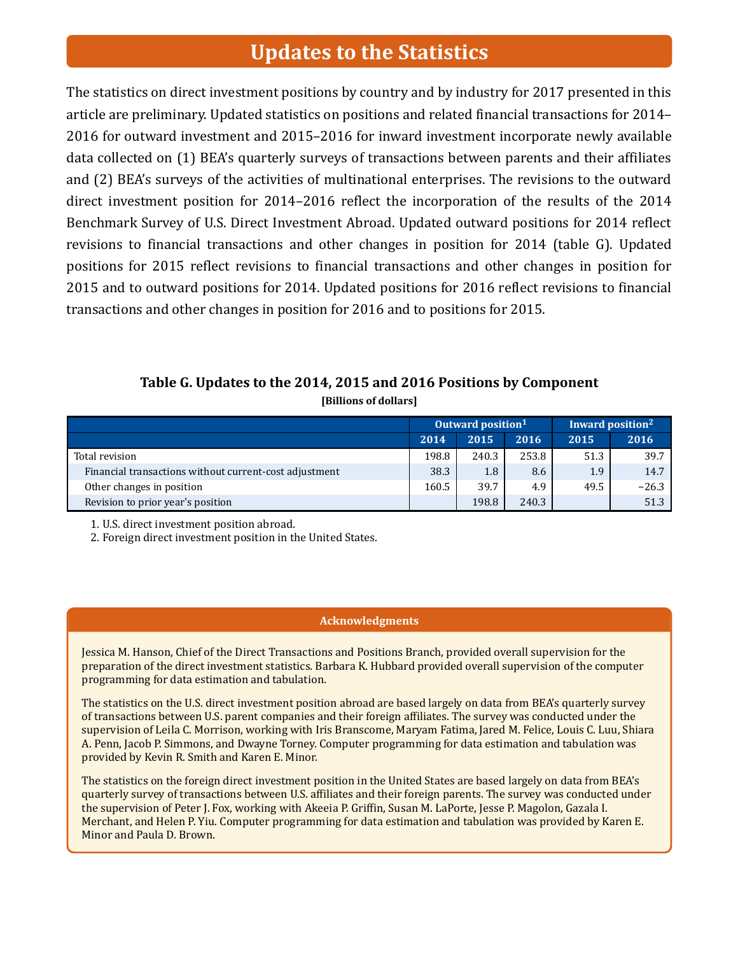## **Updates to the Statistics**

The statistics on direct investment positions by country and by industry for 2017 presented in this article are preliminary. Updated statistics on positions and related financial transactions for 2014– 2016 for outward investment and 2015–2016 for inward investment incorporate newly available data collected on (1) BEA's quarterly surveys of transactions between parents and their affiliates and (2) BEA's surveys of the activities of multinational enterprises. The revisions to the outward direct investment position for 2014–2016 reflect the incorporation of the results of the 2014 Benchmark Survey of U.S. Direct Investment Abroad. Updated outward positions for 2014 reflect revisions to financial transactions and other changes in position for 2014 (table G). Updated positions for 2015 reflect revisions to financial transactions and other changes in position for 2015 and to outward positions for 2014. Updated positions for 2016 reflect revisions to financial transactions and other changes in position for 2016 and to positions for 2015.

### Table G. Updates to the 2014, 2015 and 2016 Positions by Component [Billions of dollars]

|                                                        | Outward position <sup>1</sup> |       |       | Inward position <sup>2</sup> |         |  |
|--------------------------------------------------------|-------------------------------|-------|-------|------------------------------|---------|--|
|                                                        | 2014                          | 2015  | 2016  | 2015                         | 2016    |  |
| Total revision                                         | 198.8                         | 240.3 | 253.8 | 51.3                         | 39.7    |  |
| Financial transactions without current-cost adjustment | 38.3                          | 1.8   | 8.6   | 1.9                          | 14.7    |  |
| Other changes in position                              | 160.5                         | 39.7  | 4.9   | 49.5                         | $-26.3$ |  |
| Revision to prior year's position                      |                               | 198.8 | 240.3 |                              | 51.3    |  |

1. U.S. direct investment position abroad.

2. Foreign direct investment position in the United States.

### Acknowledgments

Jessica M. Hanson, Chief of the Direct Transactions and Positions Branch, provided overall supervision for the preparation of the direct investment statistics. Barbara K. Hubbard provided overall supervision of the computer programming for data estimation and tabulation.

The statistics on the U.S. direct investment position abroad are based largely on data from BEA's quarterly survey of transactions between U.S. parent companies and their foreign affiliates. The survey was conducted under the supervision of Leila C. Morrison, working with Iris Branscome, Maryam Fatima, Jared M. Felice, Louis C. Luu, Shiara A. Penn, Jacob P. Simmons, and Dwayne Torney. Computer programming for data estimation and tabulation was provided by Kevin R. Smith and Karen E. Minor.

The statistics on the foreign direct investment position in the United States are based largely on data from BEA's quarterly survey of transactions between U.S. affiliates and their foreign parents. The survey was conducted under the supervision of Peter J. Fox, working with Akeeia P. Griffin, Susan M. LaPorte, Jesse P. Magolon, Gazala I. Merchant, and Helen P. Yiu. Computer programming for data estimation and tabulation was provided by Karen E. Minor and Paula D. Brown.